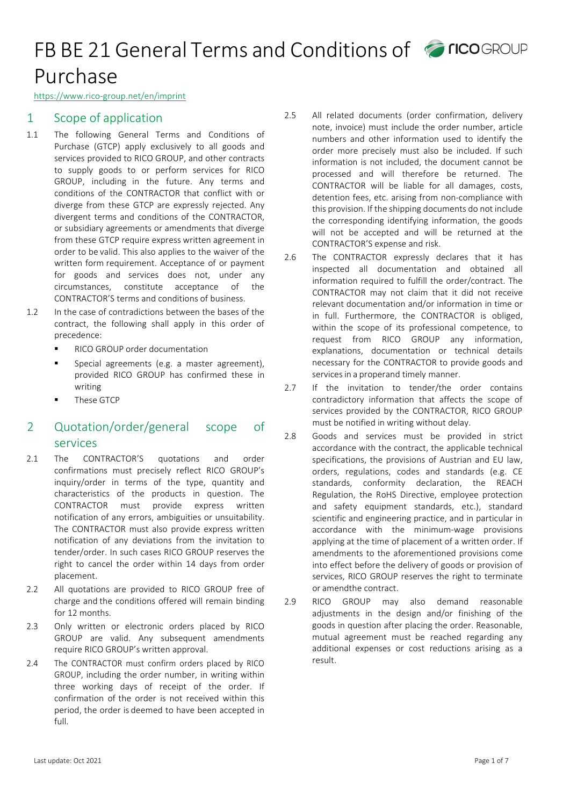https://www.rico-group.net/en/imprint

## 1 Scope of application

- 1.1 The following General Terms and Conditions of Purchase (GTCP) apply exclusively to all goods and services provided to RICO GROUP, and other contracts to supply goods to or perform services for RICO GROUP, including in the future. Any terms and conditions of the CONTRACTOR that conflict with or diverge from these GTCP are expressly rejected. Any divergent terms and conditions of the CONTRACTOR, or subsidiary agreements or amendments that diverge from these GTCP require express written agreement in order to be valid. This also applies to the waiver of the written form requirement. Acceptance of or payment for goods and services does not, under any circumstances, constitute acceptance of the CONTRACTOR'S terms and conditions of business.
- 1.2 In the case of contradictions between the bases of the contract, the following shall apply in this order of precedence:
	- **RICO GROUP order documentation**
	- **Special agreements (e.g. a master agreement),** provided RICO GROUP has confirmed these in writing
	- These GTCP

## 2 Quotation/order/general scope of services

- 2.1 The CONTRACTOR'S quotations and order confirmations must precisely reflect RICO GROUP's inquiry/order in terms of the type, quantity and characteristics of the products in question. The CONTRACTOR must provide express written notification of any errors, ambiguities or unsuitability. The CONTRACTOR must also provide express written notification of any deviations from the invitation to tender/order. In such cases RICO GROUP reserves the right to cancel the order within 14 days from order placement.
- 2.2 All quotations are provided to RICO GROUP free of charge and the conditions offered will remain binding for 12 months.
- 2.3 Only written or electronic orders placed by RICO GROUP are valid. Any subsequent amendments require RICO GROUP's written approval.
- 2.4 The CONTRACTOR must confirm orders placed by RICO GROUP, including the order number, in writing within three working days of receipt of the order. If confirmation of the order is not received within this period, the order is deemed to have been accepted in full.
- 2.5 All related documents (order confirmation, delivery note, invoice) must include the order number, article numbers and other information used to identify the order more precisely must also be included. If such information is not included, the document cannot be processed and will therefore be returned. The CONTRACTOR will be liable for all damages, costs, detention fees, etc. arising from non-compliance with this provision. If the shipping documents do not include the corresponding identifying information, the goods will not be accepted and will be returned at the CONTRACTOR'S expense and risk.
- 2.6 The CONTRACTOR expressly declares that it has inspected all documentation and obtained all information required to fulfill the order/contract. The CONTRACTOR may not claim that it did not receive relevant documentation and/or information in time or in full. Furthermore, the CONTRACTOR is obliged, within the scope of its professional competence, to request from RICO GROUP any information, explanations, documentation or technical details necessary for the CONTRACTOR to provide goods and services in a properand timely manner.
- 2.7 If the invitation to tender/the order contains contradictory information that affects the scope of services provided by the CONTRACTOR, RICO GROUP must be notified in writing without delay.
- 2.8 Goods and services must be provided in strict accordance with the contract, the applicable technical specifications, the provisions of Austrian and EU law, orders, regulations, codes and standards (e.g. CE standards, conformity declaration, the REACH Regulation, the RoHS Directive, employee protection and safety equipment standards, etc.), standard scientific and engineering practice, and in particular in accordance with the minimum-wage provisions applying at the time of placement of a written order. If amendments to the aforementioned provisions come into effect before the delivery of goods or provision of services, RICO GROUP reserves the right to terminate or amendthe contract.
- 2.9 RICO GROUP may also demand reasonable adjustments in the design and/or finishing of the goods in question after placing the order. Reasonable, mutual agreement must be reached regarding any additional expenses or cost reductions arising as a result.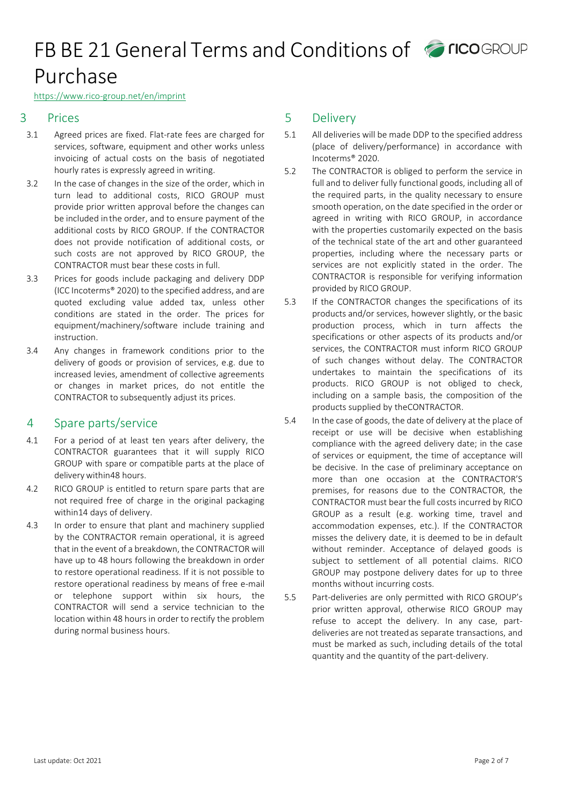#### https://www.rico-group.net/en/imprint

### 3 Prices

- 3.1 Agreed prices are fixed. Flat-rate fees are charged for services, software, equipment and other works unless invoicing of actual costs on the basis of negotiated hourly rates is expressly agreed in writing.
- 3.2 In the case of changes in the size of the order, which in turn lead to additional costs, RICO GROUP must provide prior written approval before the changes can be included inthe order, and to ensure payment of the additional costs by RICO GROUP. If the CONTRACTOR does not provide notification of additional costs, or such costs are not approved by RICO GROUP, the CONTRACTOR must bear these costs in full.
- 3.3 Prices for goods include packaging and delivery DDP (ICC Incoterms® 2020) to the specified address, and are quoted excluding value added tax, unless other conditions are stated in the order. The prices for equipment/machinery/software include training and instruction.
- 3.4 Any changes in framework conditions prior to the delivery of goods or provision of services, e.g. due to increased levies, amendment of collective agreements or changes in market prices, do not entitle the CONTRACTOR to subsequently adjust its prices.

### 4 Spare parts/service

- 4.1 For a period of at least ten years after delivery, the CONTRACTOR guarantees that it will supply RICO GROUP with spare or compatible parts at the place of delivery within48 hours.
- 4.2 RICO GROUP is entitled to return spare parts that are not required free of charge in the original packaging within14 days of delivery.
- 4.3 In order to ensure that plant and machinery supplied by the CONTRACTOR remain operational, it is agreed that in the event of a breakdown, the CONTRACTOR will have up to 48 hours following the breakdown in order to restore operational readiness. If it is not possible to restore operational readiness by means of free e-mail or telephone support within six hours, the CONTRACTOR will send a service technician to the location within 48 hours in order to rectify the problem during normal business hours.

### 5 Delivery

- 5.1 All deliveries will be made DDP to the specified address (place of delivery/performance) in accordance with Incoterms® 2020.
- 5.2 The CONTRACTOR is obliged to perform the service in full and to deliver fully functional goods, including all of the required parts, in the quality necessary to ensure smooth operation, on the date specified in the order or agreed in writing with RICO GROUP, in accordance with the properties customarily expected on the basis of the technical state of the art and other guaranteed properties, including where the necessary parts or services are not explicitly stated in the order. The CONTRACTOR is responsible for verifying information provided by RICO GROUP.
- 5.3 If the CONTRACTOR changes the specifications of its products and/or services, however slightly, or the basic production process, which in turn affects the specifications or other aspects of its products and/or services, the CONTRACTOR must inform RICO GROUP of such changes without delay. The CONTRACTOR undertakes to maintain the specifications of its products. RICO GROUP is not obliged to check, including on a sample basis, the composition of the products supplied by theCONTRACTOR.
- 5.4 In the case of goods, the date of delivery at the place of receipt or use will be decisive when establishing compliance with the agreed delivery date; in the case of services or equipment, the time of acceptance will be decisive. In the case of preliminary acceptance on more than one occasion at the CONTRACTOR'S premises, for reasons due to the CONTRACTOR, the CONTRACTOR must bear the full costs incurred by RICO GROUP as a result (e.g. working time, travel and accommodation expenses, etc.). If the CONTRACTOR misses the delivery date, it is deemed to be in default without reminder. Acceptance of delayed goods is subject to settlement of all potential claims. RICO GROUP may postpone delivery dates for up to three months without incurring costs.
- 5.5 Part-deliveries are only permitted with RICO GROUP's prior written approval, otherwise RICO GROUP may refuse to accept the delivery. In any case, partdeliveries are not treated as separate transactions, and must be marked as such, including details of the total quantity and the quantity of the part-delivery.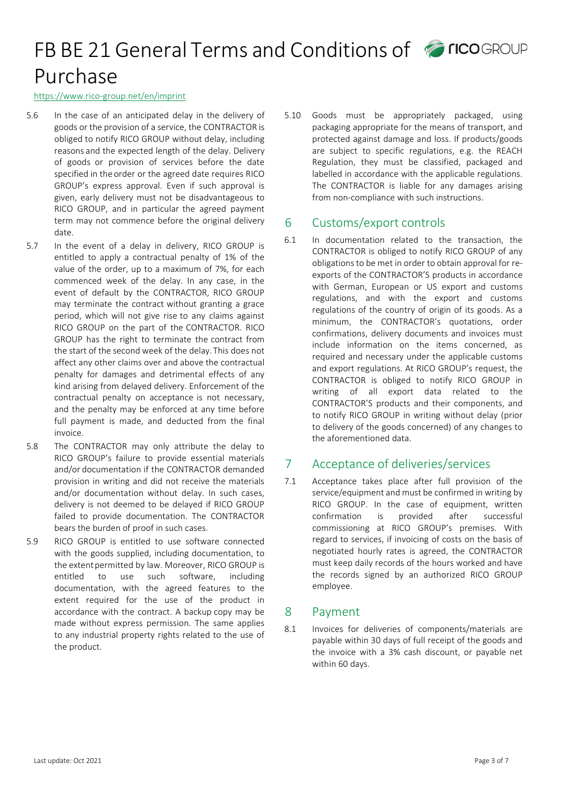#### https://www.rico-group.net/en/imprint

- 5.6 In the case of an anticipated delay in the delivery of goods or the provision of a service, the CONTRACTOR is obliged to notify RICO GROUP without delay, including reasons and the expected length of the delay. Delivery of goods or provision of services before the date specified in the order or the agreed date requires RICO GROUP's express approval. Even if such approval is given, early delivery must not be disadvantageous to RICO GROUP, and in particular the agreed payment term may not commence before the original delivery date.
- 5.7 In the event of a delay in delivery, RICO GROUP is entitled to apply a contractual penalty of 1% of the value of the order, up to a maximum of 7%, for each commenced week of the delay. In any case, in the event of default by the CONTRACTOR, RICO GROUP may terminate the contract without granting a grace period, which will not give rise to any claims against RICO GROUP on the part of the CONTRACTOR. RICO GROUP has the right to terminate the contract from the start of the second week of the delay.This does not affect any other claims over and above the contractual penalty for damages and detrimental effects of any kind arising from delayed delivery. Enforcement of the contractual penalty on acceptance is not necessary, and the penalty may be enforced at any time before full payment is made, and deducted from the final invoice.
- 5.8 The CONTRACTOR may only attribute the delay to RICO GROUP's failure to provide essential materials and/or documentation if the CONTRACTOR demanded provision in writing and did not receive the materials and/or documentation without delay. In such cases, delivery is not deemed to be delayed if RICO GROUP failed to provide documentation. The CONTRACTOR bears the burden of proof in such cases.
- 5.9 RICO GROUP is entitled to use software connected with the goods supplied, including documentation, to the extent permitted by law. Moreover, RICO GROUP is entitled to use such software, including documentation, with the agreed features to the extent required for the use of the product in accordance with the contract. A backup copy may be made without express permission. The same applies to any industrial property rights related to the use of the product.

5.10 Goods must be appropriately packaged, using packaging appropriate for the means of transport, and protected against damage and loss. If products/goods are subject to specific regulations, e.g. the REACH Regulation, they must be classified, packaged and labelled in accordance with the applicable regulations. The CONTRACTOR is liable for any damages arising from non-compliance with such instructions.

### 6 Customs/export controls

6.1 In documentation related to the transaction, the CONTRACTOR is obliged to notify RICO GROUP of any obligations to be met in order to obtain approval for reexports of the CONTRACTOR'S products in accordance with German, European or US export and customs regulations, and with the export and customs regulations of the country of origin of its goods. As a minimum, the CONTRACTOR's quotations, order confirmations, delivery documents and invoices must include information on the items concerned, as required and necessary under the applicable customs and export regulations. At RICO GROUP's request, the CONTRACTOR is obliged to notify RICO GROUP in writing of all export data related to the CONTRACTOR'S products and their components, and to notify RICO GROUP in writing without delay (prior to delivery of the goods concerned) of any changes to the aforementioned data.

## 7 Acceptance of deliveries/services

7.1 Acceptance takes place after full provision of the service/equipment and must be confirmed in writing by RICO GROUP. In the case of equipment, written confirmation is provided after successful commissioning at RICO GROUP's premises. With regard to services, if invoicing of costs on the basis of negotiated hourly rates is agreed, the CONTRACTOR must keep daily records of the hours worked and have the records signed by an authorized RICO GROUP employee.

### 8 Payment

8.1 Invoices for deliveries of components/materials are payable within 30 days of full receipt of the goods and the invoice with a 3% cash discount, or payable net within 60 days.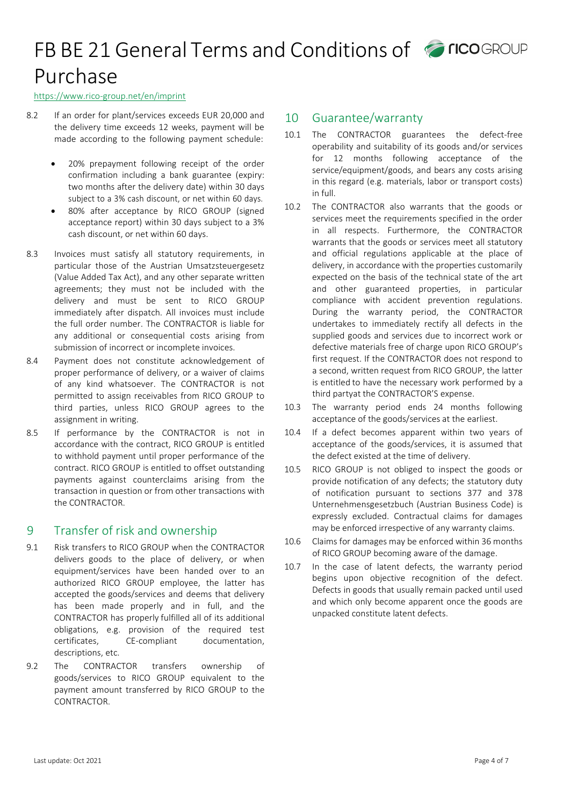#### https://www.rico-group.net/en/imprint

- 8.2 If an order for plant/services exceeds EUR 20,000 and the delivery time exceeds 12 weeks, payment will be made according to the following payment schedule:
	- 20% prepayment following receipt of the order confirmation including a bank guarantee (expiry: two months after the delivery date) within 30 days subject to a 3% cash discount, or net within 60 days.
	- 80% after acceptance by RICO GROUP (signed acceptance report) within 30 days subject to a 3% cash discount, or net within 60 days.
- 8.3 Invoices must satisfy all statutory requirements, in particular those of the Austrian Umsatzsteuergesetz (Value Added Tax Act), and any other separate written agreements; they must not be included with the delivery and must be sent to RICO GROUP immediately after dispatch. All invoices must include the full order number. The CONTRACTOR is liable for any additional or consequential costs arising from submission of incorrect or incomplete invoices.
- 8.4 Payment does not constitute acknowledgement of proper performance of delivery, or a waiver of claims of any kind whatsoever. The CONTRACTOR is not permitted to assign receivables from RICO GROUP to third parties, unless RICO GROUP agrees to the assignment in writing.
- 8.5 If performance by the CONTRACTOR is not in accordance with the contract, RICO GROUP is entitled to withhold payment until proper performance of the contract. RICO GROUP is entitled to offset outstanding payments against counterclaims arising from the transaction in question or from other transactions with the CONTRACTOR.

### 9 Transfer of risk and ownership

- 9.1 Risk transfers to RICO GROUP when the CONTRACTOR delivers goods to the place of delivery, or when equipment/services have been handed over to an authorized RICO GROUP employee, the latter has accepted the goods/services and deems that delivery has been made properly and in full, and the CONTRACTOR has properly fulfilled all of its additional obligations, e.g. provision of the required test certificates, CE-compliant documentation, descriptions, etc.
- 9.2 The CONTRACTOR transfers ownership of goods/services to RICO GROUP equivalent to the payment amount transferred by RICO GROUP to the CONTRACTOR.

### 10 Guarantee/warranty

- 10.1 The CONTRACTOR guarantees the defect-free operability and suitability of its goods and/or services for 12 months following acceptance of the service/equipment/goods, and bears any costs arising in this regard (e.g. materials, labor or transport costs) in full.
- 10.2 The CONTRACTOR also warrants that the goods or services meet the requirements specified in the order in all respects. Furthermore, the CONTRACTOR warrants that the goods or services meet all statutory and official regulations applicable at the place of delivery, in accordance with the properties customarily expected on the basis of the technical state of the art and other guaranteed properties, in particular compliance with accident prevention regulations. During the warranty period, the CONTRACTOR undertakes to immediately rectify all defects in the supplied goods and services due to incorrect work or defective materials free of charge upon RICO GROUP's first request. If the CONTRACTOR does not respond to a second, written request from RICO GROUP, the latter is entitled to have the necessary work performed by a third partyat the CONTRACTOR'S expense.
- 10.3 The warranty period ends 24 months following acceptance of the goods/services at the earliest.
- 10.4 If a defect becomes apparent within two years of acceptance of the goods/services, it is assumed that the defect existed at the time of delivery.
- 10.5 RICO GROUP is not obliged to inspect the goods or provide notification of any defects; the statutory duty of notification pursuant to sections 377 and 378 Unternehmensgesetzbuch (Austrian Business Code) is expressly excluded. Contractual claims for damages may be enforced irrespective of any warranty claims.
- 10.6 Claims for damages may be enforced within 36 months of RICO GROUP becoming aware of the damage.
- 10.7 In the case of latent defects, the warranty period begins upon objective recognition of the defect. Defects in goods that usually remain packed until used and which only become apparent once the goods are unpacked constitute latent defects.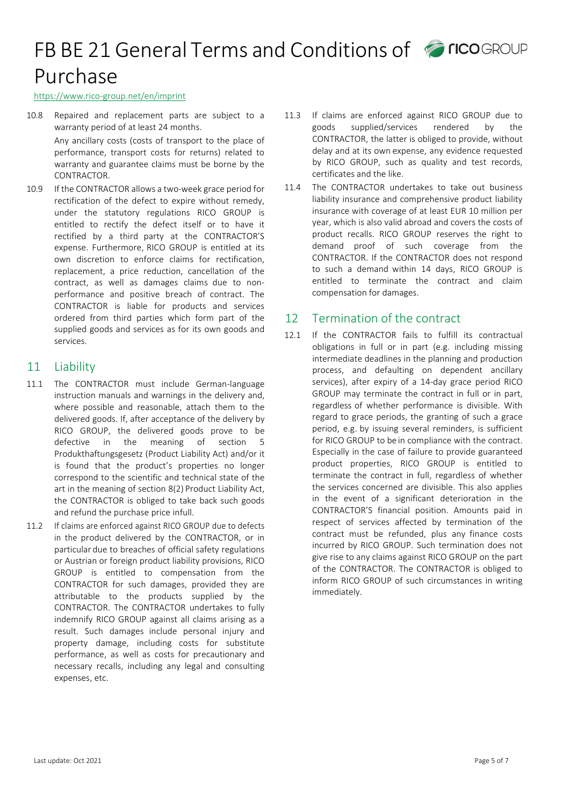#### https://www.rico-group.net/en/imprint

10.8 Repaired and replacement parts are subject to a warranty period of at least 24 months.

> Any ancillary costs (costs of transport to the place of performance, transport costs for returns) related to warranty and guarantee claims must be borne by the CONTRACTOR.

10.9 If the CONTRACTOR allows a two-week grace period for rectification of the defect to expire without remedy, under the statutory regulations RICO GROUP is entitled to rectify the defect itself or to have it rectified by a third party at the CONTRACTOR'S expense. Furthermore, RICO GROUP is entitled at its own discretion to enforce claims for rectification, replacement, a price reduction, cancellation of the contract, as well as damages claims due to nonperformance and positive breach of contract. The CONTRACTOR is liable for products and services ordered from third parties which form part of the supplied goods and services as for its own goods and services.

### 11 Liability

- 11.1 The CONTRACTOR must include German-language instruction manuals and warnings in the delivery and, where possible and reasonable, attach them to the delivered goods. If, after acceptance of the delivery by RICO GROUP, the delivered goods prove to be defective in the meaning of section 5 Produkthaftungsgesetz (Product Liability Act) and/or it is found that the product's properties no longer correspond to the scientific and technical state of the art in the meaning of section 8(2) Product Liability Act, the CONTRACTOR is obliged to take back such goods and refund the purchase price infull.
- 11.2 If claims are enforced against RICO GROUP due to defects in the product delivered by the CONTRACTOR, or in particular due to breaches of official safety regulations or Austrian or foreign product liability provisions, RICO GROUP is entitled to compensation from the CONTRACTOR for such damages, provided they are attributable to the products supplied by the CONTRACTOR. The CONTRACTOR undertakes to fully indemnify RICO GROUP against all claims arising as a result. Such damages include personal injury and property damage, including costs for substitute performance, as well as costs for precautionary and necessary recalls, including any legal and consulting expenses, etc.
- 11.3 If claims are enforced against RICO GROUP due to goods supplied/services rendered by the CONTRACTOR, the latter is obliged to provide, without delay and at its own expense, any evidence requested by RICO GROUP, such as quality and test records, certificates and the like.
- 11.4 The CONTRACTOR undertakes to take out business liability insurance and comprehensive product liability insurance with coverage of at least EUR 10 million per year, which is also valid abroad and covers the costs of product recalls. RICO GROUP reserves the right to demand proof of such coverage from the CONTRACTOR. If the CONTRACTOR does not respond to such a demand within 14 days, RICO GROUP is entitled to terminate the contract and claim compensation for damages.

### 12 Termination of the contract

12.1 If the CONTRACTOR fails to fulfill its contractual obligations in full or in part (e.g. including missing intermediate deadlines in the planning and production process, and defaulting on dependent ancillary services), after expiry of a 14-day grace period RICO GROUP may terminate the contract in full or in part, regardless of whether performance is divisible. With regard to grace periods, the granting of such a grace period, e.g. by issuing several reminders, is sufficient for RICO GROUP to be in compliance with the contract. Especially in the case of failure to provide guaranteed product properties, RICO GROUP is entitled to terminate the contract in full, regardless of whether the services concerned are divisible. This also applies in the event of a significant deterioration in the CONTRACTOR'S financial position. Amounts paid in respect of services affected by termination of the contract must be refunded, plus any finance costs incurred by RICO GROUP. Such termination does not give rise to any claims against RICO GROUP on the part of the CONTRACTOR. The CONTRACTOR is obliged to inform RICO GROUP of such circumstances in writing immediately.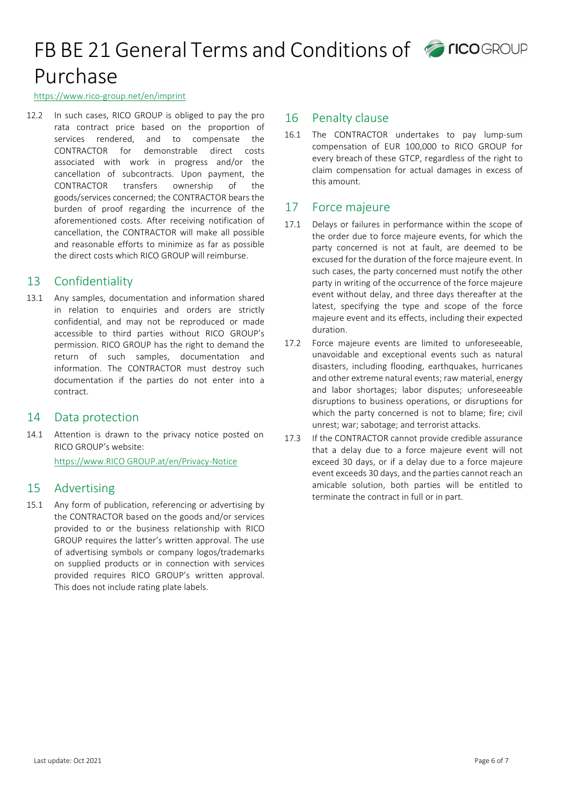#### https://www.rico-group.net/en/imprint

12.2 In such cases, RICO GROUP is obliged to pay the pro rata contract price based on the proportion of services rendered, and to compensate the CONTRACTOR for demonstrable direct costs associated with work in progress and/or the cancellation of subcontracts. Upon payment, the CONTRACTOR transfers ownership of the goods/services concerned; the CONTRACTOR bears the burden of proof regarding the incurrence of the aforementioned costs. After receiving notification of cancellation, the CONTRACTOR will make all possible and reasonable efforts to minimize as far as possible the direct costs which RICO GROUP will reimburse.

### 13 Confidentiality

13.1 Any samples, documentation and information shared in relation to enquiries and orders are strictly confidential, and may not be reproduced or made accessible to third parties without RICO GROUP's permission. RICO GROUP has the right to demand the return of such samples, documentation and information. The CONTRACTOR must destroy such documentation if the parties do not enter into a contract.

### 14 Data protection

14.1 Attention is drawn to the privacy notice posted on RICO GROUP's website: [https://www.RICO GROUP.at/en/Privacy-Notice](https://www.rico-group.net/en/imprint)

### 15 Advertising

15.1 Any form of publication, referencing or advertising by the CONTRACTOR based on the goods and/or services provided to or the business relationship with RICO GROUP requires the latter's written approval. The use of advertising symbols or company logos/trademarks on supplied products or in connection with services provided requires RICO GROUP's written approval. This does not include rating plate labels.

#### 16 Penalty clause

16.1 The CONTRACTOR undertakes to pay lump-sum compensation of EUR 100,000 to RICO GROUP for every breach of these GTCP, regardless of the right to claim compensation for actual damages in excess of this amount.

### 17 Force majeure

- 17.1 Delays or failures in performance within the scope of the order due to force majeure events, for which the party concerned is not at fault, are deemed to be excused for the duration of the force majeure event. In such cases, the party concerned must notify the other party in writing of the occurrence of the force majeure event without delay, and three days thereafter at the latest, specifying the type and scope of the force majeure event and its effects, including their expected duration.
- 17.2 Force majeure events are limited to unforeseeable, unavoidable and exceptional events such as natural disasters, including flooding, earthquakes, hurricanes and other extreme natural events; raw material, energy and labor shortages; labor disputes; unforeseeable disruptions to business operations, or disruptions for which the party concerned is not to blame; fire; civil unrest; war; sabotage; and terrorist attacks.
- 17.3 If the CONTRACTOR cannot provide credible assurance that a delay due to a force majeure event will not exceed 30 days, or if a delay due to a force majeure event exceeds 30 days, and the parties cannot reach an amicable solution, both parties will be entitled to terminate the contract in full or in part.